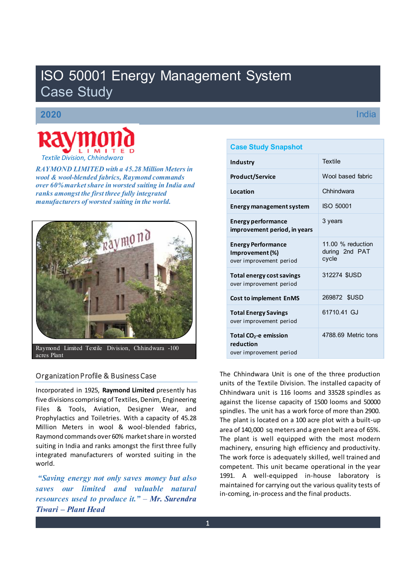# ISO 50001 Energy Management System Case Study

# **2020**



 *RAYMOND LIMITED with a 45.28 Million Meters in wool & wool-blended fabrics, Raymond commands over 60% market share in worsted suiting in India and ranks amongst the first three fully integrated manufacturers of worsted suiting in the world.* 



Raymond Limited Textile Division, Chhindwara -100 acres Plant

# Organization Profile & Business Case

Incorporated in 1925, **Raymond Limited** presently has five divisions comprising of Textiles, Denim, Engineering Files & Tools, Aviation, Designer Wear, and Prophylactics and Toiletries. With a capacity of 45.28 Million Meters in wool & wool-blended fabrics, Raymond commands over 60% market share in worsted suiting in India and ranks amongst the first three fully integrated manufacturers of worsted suiting in the world.

*saving energy not only saves money but also saves our limited and valuable natural Fesources used to produce it.*" – Mr. Surendra *Tiwari ± Plant Head*

# **Case Study Snapshot**

| <b>Industry</b>                                                         | <b>Textile</b>                               |
|-------------------------------------------------------------------------|----------------------------------------------|
| <b>Product/Service</b>                                                  | Wool based fabric                            |
| Location                                                                | Chhindwara                                   |
| <b>Energy management system</b>                                         | ISO 50001                                    |
| Energy performance<br>improvement period, in years                      | 3 years                                      |
| <b>Energy Performance</b><br>Improvement (%)<br>over improvement period | 11.00 % reduction<br>during 2nd PAT<br>cycle |
| Total energy cost savings<br>over improvement period                    | 312274 \$USD                                 |
| <b>Cost to implement EnMS</b>                                           | 269872 \$USD                                 |
| <b>Total Energy Savings</b><br>over improvement period                  | 61710.41 GJ                                  |
| Total $CO2$ -e emission<br>reduction<br>over improvement period         | 4788.69 Metric tons                          |

The Chhindwara Unit is one of the three production units of the Textile Division. The installed capacity of Chhindwara unit is 116 looms and 33528 spindles as against the license capacity of 1500 looms and 50000 spindles. The unit has a work force of more than 2900. The plant is located on a 100 acre plot with a built-up area of 140,000 sq meters and a green belt area of 65%. The plant is well equipped with the most modern machinery, ensuring high efficiency and productivity. The work force is adequately skilled, well trained and competent. This unit became operational in the year 1991. A well-equipped in-house laboratory is maintained for carrying out the various quality tests of in-coming, in-process and the final products.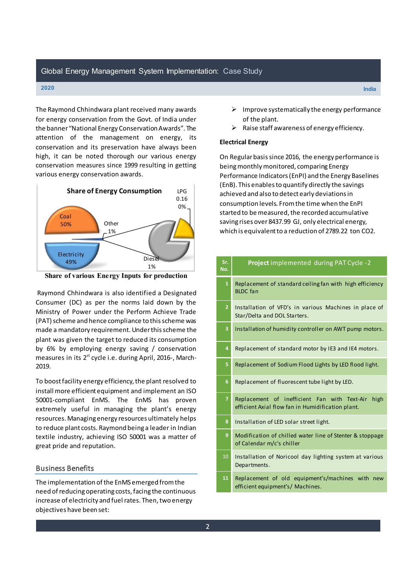# Global Energy Management System Implementation: Case Study

#### **2020 India**

The Raymond Chhindwara plant received many awards for energy conservation from the Govt. of India under the banner "National Energy Conservation Awards". The attention of the management on energy, its conservation and its preservation have always been high, it can be noted thorough our various energy conservation measures since 1999 resulting in getting various energy conservation awards.



**Share of various Energy Inputs for production** 

 Raymond Chhindwara is also identified a Designated Consumer (DC) as per the norms laid down by the Ministry of Power under the Perform Achieve Trade (PAT) scheme and hence compliance to this scheme was made a mandatory requirement. Under this scheme the plant was given the target to reduced its consumption by 6% by employing energy saving / conservation measures in its 2<sup>st</sup> cycle i.e. during April, 2016-, March-2019.

To boost facility energy efficiency, the plant resolved to install more efficient equipment and implement an ISO 50001-compliant EnMS. The EnMS has proven extremely useful in managing the plant's energy resources. Managing energy resources ultimately helps to reduce plant costs. Raymond being a leader in Indian textile industry, achieving ISO 50001 was a matter of great pride and reputation.

# Business Benefits

The implementation of the EnMS emerged from the need of reducing operating costs, facing the continuous increase of electricity and fuel rates. Then, two energy objectives have been set:

- $\triangleright$  Improve systematically the energy performance of the plant.
- $\triangleright$  Raise staff awareness of energy efficiency.

# **Electrical Energy**

On Regular basis since 2016, the energy performance is being monthly monitored, comparing Energy Performance Indicators (EnPI) and the Energy Baselines (EnB). This enables to quantify directly the savings achieved and also to detect early deviations in consumption levels. From the time when the EnPI started to be measured, the recorded accumulative saving rises over 8437.99 GJ, only electrical energy, which is equivalent to a reduction of 2789.22 ton CO2.

| Sr.<br>No.     | Project implemented during PAT Cycle -2                                                                   |
|----------------|-----------------------------------------------------------------------------------------------------------|
| $\mathbf{1}$   | Replacement of standard ceiling fan with high efficiency<br><b>BLDC</b> fan                               |
| $\overline{2}$ | Installation of VFD's in various Machines in place of<br>Star/Delta and DOL Starters.                     |
| 3              | Installation of humidity controller on AWT pump motors.                                                   |
| 4              | Replacement of standard motor by IE3 and IE4 motors.                                                      |
| 5              | Replacement of Sodium Flood Lights by LED flood light.                                                    |
| 6              | Replacement of fluorescent tube light by LED.                                                             |
| $\overline{7}$ | Replacement of inefficient Fan with Text-Air<br>high<br>efficient Axial flow fan in Humidification plant. |
| 8              | Installation of LED solar street light.                                                                   |
| 9              | Modification of chilled water line of Stenter & stoppage<br>of Calendar m/c's chiller                     |
| 10             | Installation of Noricool day lighting system at various<br>Departments.                                   |
| 11             | Replacement of old equipment's/machines with new<br>efficient equipment's/ Machines.                      |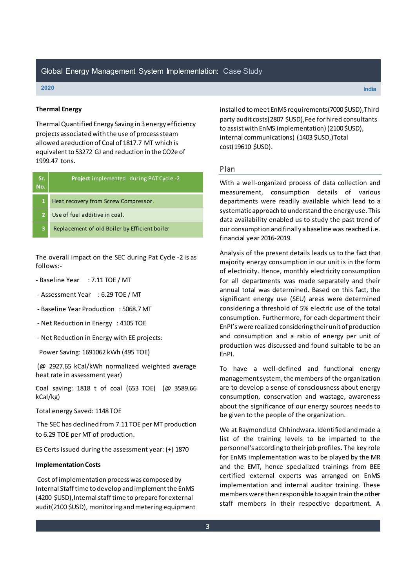#### **2020 India**

# **Thermal Energy**

Thermal Quantified Energy Saving in 3 energy efficiency projects associated with the use of process steam allowed a reduction of Coal of 1817.7 MT which is equivalent to 53272 GJ and reduction in the CO2e of 1999.47 tons.

| Sr.<br>No.     | <b>Project</b> implemented during PAT Cycle -2 |
|----------------|------------------------------------------------|
| $\mathbf{1}$   | Heat recovery from Screw Compressor.           |
| $\overline{2}$ | Use of fuel additive in coal.                  |
| з              | Replacement of old Boiler by Efficient boiler  |
|                |                                                |

The overall impact on the SEC during Pat Cycle -2 is as follows:-

- Baseline Year : 7.11 TOE / MT
- Assessment Year : 6.29 TOE / MT
- Baseline Year Production : 5068.7 MT
- Net Reduction in Energy : 4105 TOE
- Net Reduction in Energy with EE projects:
- Power Saving: 1691062 kWh (495 TOE)

 (@ 2927.65 kCal/kWh normalized weighted average heat rate in assessment year)

Coal saving: 1818 t of coal (653 TOE) (@ 3589.66 kCal/kg)

Total energy Saved: 1148 TOE

 The SEC has declined from 7.11 TOE per MT production to 6.29 TOE per MT of production.

ES Certs issued during the assessment year: (+) 1870

# **Implementation Costs**

 Cost of implementation process was composed by Internal Staff time to develop and implement the EnMS (4200 \$USD),Internal staff time to prepare for external audit(2100 \$USD), monitoring and metering equipment installed to meet EnMS requirements(7000 \$USD),Third party audit costs(2807 \$USD),Fee for hired consultants to assist with EnMS implementation) (2100 \$USD), internal communications) (1403 \$USD,)Total cost(19610 \$USD).

# Plan

With a well-organized process of data collection and measurement, consumption details of various departments were readily available which lead to a systematic approach to understand the energy use. This data availability enabled us to study the past trend of our consumption and finally a baseline was reached i.e. financial year 2016-2019.

Analysis of the present details leads us to the fact that majority energy consumption in our unit is in the form of electricity. Hence, monthly electricity consumption for all departments was made separately and their annual total was determined. Based on this fact, the significant energy use (SEU) areas were determined considering a threshold of 5% electric use of the total consumption. Furthermore, for each department their EnPI's were realized considering their unit of production and consumption and a ratio of energy per unit of production was discussed and found suitable to be an EnPI.

To have a well-defined and functional energy management system, the members of the organization are to develop a sense of consciousness about energy consumption, conservation and wastage, awareness about the significance of our energy sources needs to be given to the people of the organization.

We at Raymond Ltd Chhindwara. Identified and made a list of the training levels to be imparted to the personnel's according to their job profiles. The key role for EnMS implementation was to be played by the MR and the EMT, hence specialized trainings from BEE certified external experts was arranged on EnMS implementation and internal auditor training. These members were then responsible to again train the other staff members in their respective department. A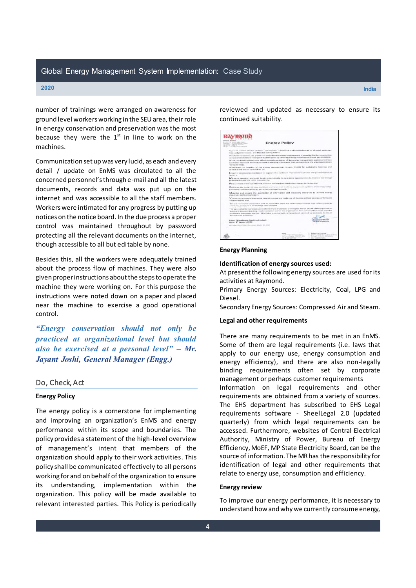number of trainings were arranged on awareness for ground level workers working in the SEU area, their role in energy conservation and preservation was the most because they were the  $1<sup>st</sup>$  in line to work on the machines.

Communication set up was very lucid, as each and every detail / update on EnMS was circulated to all the concerned personnel's through e-mail and all the latest documents, records and data was put up on the internet and was accessible to all the staff members. Workers were intimated for any progress by putting up notices on the notice board. In the due process a proper control was maintained throughout by password protecting all the relevant documents on the internet, though accessible to all but editable by none.

Besides this, all the workers were adequately trained about the process flow of machines. They were also given proper instructions about the steps to operate the machine they were working on. For this purpose the instructions were noted down on a paper and placed near the machine to exercise a good operational control.

*³Energy conservation should not only be practiced at organizational level but should also be exercised at a personal level*" – Mr. *Jayant Joshi, General Manager (Engg.)* 

# Do, Check, Act

# **Energy Policy**

The energy policy is a cornerstone for implementing and improving an organization's EnMS and energy performance within its scope and boundaries. The policy provides a statement of the high-level overview of management's intent that members of the organization should apply to their work activities. This policy shall be communicated effectively to all persons working for and on behalf of the organization to ensure its understanding, implementation within the organization. This policy will be made available to relevant interested parties. This Policy is periodically

reviewed and updated as necessary to ensure its continued suitability.



# **Energy Planning**

## **Identification of energy sources used:**

At present the following energy sources are used for its activities at Raymond.

Primary Energy Sources: Electricity, Coal, LPG and Diesel.

Secondary Energy Sources: Compressed Air and Steam.

# **Legal and other requirements**

There are many requirements to be met in an EnMS. Some of them are legal requirements (i.e. laws that apply to our energy use, energy consumption and energy efficiency), and there are also non-legally binding requirements often set by corporate management or perhaps customer requirements Information on legal requirements and other requirements are obtained from a variety of sources. The EHS department has subscribed to EHS Legal requirements software - SheelLegal 2.0 (updated quarterly) from which legal requirements can be accessed. Furthermore, websites of Central Electrical Authority, Ministry of Power, Bureau of Energy Efficiency, MoEF, MP State Electricity Board, can be the source of information. The MR has the responsibility for identification of legal and other requirements that relate to energy use, consumption and efficiency.

#### **Energy review**

To improve our energy performance, it is necessary to understand how and why we currently consume energy,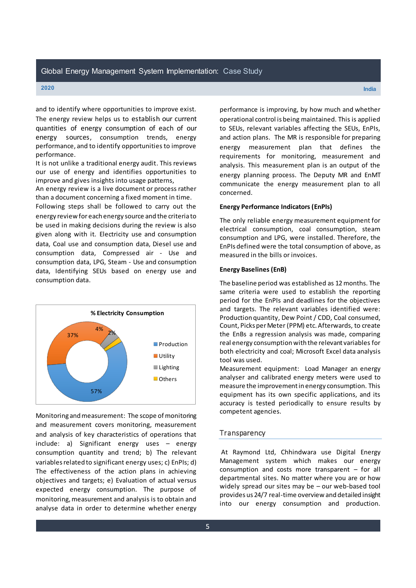**2020 India**

and to identify where opportunities to improve exist. The energy review helps us to establish our current quantities of energy consumption of each of our energy sources, consumption trends, energy performance, and to identify opportunities to improve performance.

It is not unlike a traditional energy audit. This reviews our use of energy and identifies opportunities to improve and gives insights into usage patterns,

An energy review is a live document or process rather than a document concerning a fixed moment in time.

Following steps shall be followed to carry out the energy review for each energy source and the criteria to be used in making decisions during the review is also given along with it. Electricity use and consumption data, Coal use and consumption data, Diesel use and consumption data, Compressed air - Use and consumption data, LPG, Steam - Use and consumption data, Identifying SEUs based on energy use and consumption data.



Monitoring and measurement: The scope of monitoring and measurement covers monitoring, measurement and analysis of key characteristics of operations that  $include: a)$  Significant energy uses  $-$  energy consumption quantity and trend; b) The relevant variables related to significant energy uses; c) EnPIs; d) The effectiveness of the action plans in achieving objectives and targets; e) Evaluation of actual versus expected energy consumption. The purpose of monitoring, measurement and analysis is to obtain and analyse data in order to determine whether energy

performance is improving, by how much and whether operational control is being maintained. This is applied to SEUs, relevant variables affecting the SEUs, EnPIs, and action plans. The MR is responsible for preparing energy measurement plan that defines the requirements for monitoring, measurement and analysis. This measurement plan is an output of the energy planning process. The Deputy MR and EnMT communicate the energy measurement plan to all concerned.

# **Energy Performance Indicators (EnPIs)**

The only reliable energy measurement equipment for electrical consumption, coal consumption, steam consumption and LPG, were installed. Therefore, the EnPIs defined were the total consumption of above, as measured in the bills or invoices.

# **Energy Baselines (EnB)**

The baseline period was established as 12 months. The same criteria were used to establish the reporting period for the EnPIs and deadlines for the objectives and targets. The relevant variables identified were: Production quantity, Dew Point / CDD, Coal consumed, Count, Picks per Meter (PPM) etc. Afterwards, to create the EnBs a regression analysis was made, comparing real energy consumption with the relevant variables for both electricity and coal; Microsoft Excel data analysis tool was used.

Measurement equipment: Load Manager an energy analyser and calibrated energy meters were used to measure the improvement in energy consumption. This equipment has its own specific applications, and its accuracy is tested periodically to ensure results by competent agencies.

# **Transparency**

 At Raymond Ltd, Chhindwara use Digital Energy Management system which makes our energy consumption and costs more transparent  $-$  for all departmental sites. No matter where you are or how widely spread our sites may be  $-$  our web-based tool provides us 24/7 real-time overview and detailed insight into our energy consumption and production.